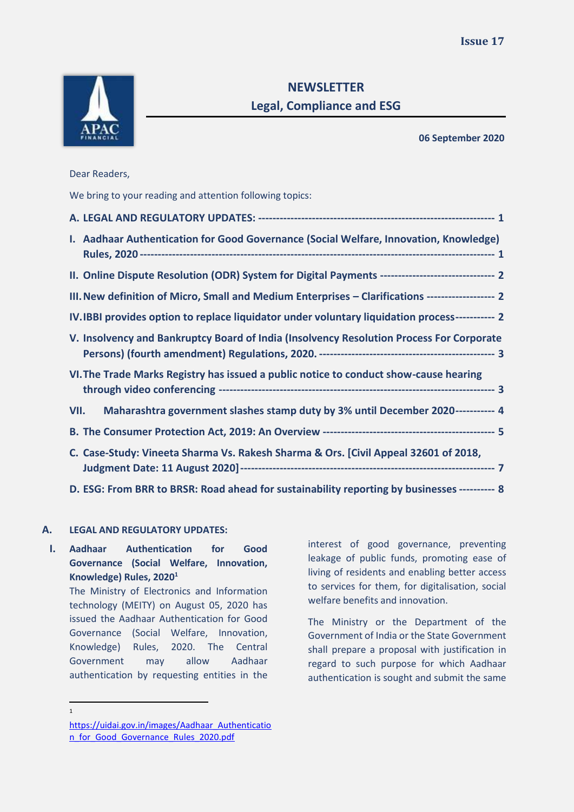

# **NEWSLETTER Legal, Compliance and ESG**

**06 September 2020**

Dear Readers,

We bring to your reading and attention following topics:

| I. Aadhaar Authentication for Good Governance (Social Welfare, Innovation, Knowledge)              |  |
|----------------------------------------------------------------------------------------------------|--|
| II. Online Dispute Resolution (ODR) System for Digital Payments -------------------------------- 2 |  |
| III. New definition of Micro, Small and Medium Enterprises - Clarifications ------------------- 2  |  |
| IV.IBBI provides option to replace liquidator under voluntary liquidation process----------- 2     |  |
| V. Insolvency and Bankruptcy Board of India (Insolvency Resolution Process For Corporate           |  |
| VI. The Trade Marks Registry has issued a public notice to conduct show-cause hearing              |  |
| Maharashtra government slashes stamp duty by 3% until December 2020----------- 4<br>VII.           |  |
|                                                                                                    |  |
| C. Case-Study: Vineeta Sharma Vs. Rakesh Sharma & Ors. [Civil Appeal 32601 of 2018,                |  |
| D. ESG: From BRR to BRSR: Road ahead for sustainability reporting by businesses ---------- 8       |  |

### <span id="page-0-0"></span>**A. LEGAL AND REGULATORY UPDATES:**

1

<span id="page-0-1"></span>**I. Aadhaar Authentication for Good Governance (Social Welfare, Innovation, Knowledge) Rules, 2020<sup>1</sup>**

> The Ministry of Electronics and Information technology (MEITY) on August 05, 2020 has issued the Aadhaar Authentication for Good Governance (Social Welfare, Innovation, Knowledge) Rules, 2020. The Central Government may allow Aadhaar authentication by requesting entities in the

interest of good governance, preventing leakage of public funds, promoting ease of living of residents and enabling better access to services for them, for digitalisation, social welfare benefits and innovation.

The Ministry or the Department of the Government of India or the State Government shall prepare a proposal with justification in regard to such purpose for which Aadhaar authentication is sought and submit the same

[https://uidai.gov.in/images/Aadhaar\\_Authenticatio](https://uidai.gov.in/images/Aadhaar_Authentication_for_Good_Governance_Rules_2020.pdf) [n\\_for\\_Good\\_Governance\\_Rules\\_2020.pdf](https://uidai.gov.in/images/Aadhaar_Authentication_for_Good_Governance_Rules_2020.pdf)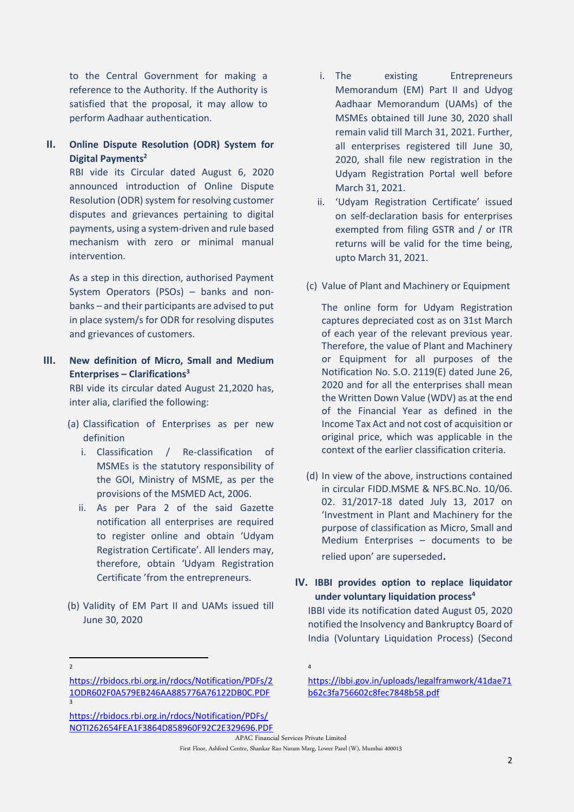to the Central Government for making a reference to the Authority. If the Authority is satisfied that the proposal, it may allow to perform Aadhaar authentication.

<span id="page-1-0"></span>**II. Online Dispute Resolution (ODR) System for Digital Payments<sup>2</sup>**

> RBI vide its Circular dated August 6, 2020 announced introduction of Online Dispute Resolution (ODR) system for resolving customer disputes and grievances pertaining to digital payments, using a system-driven and rule based mechanism with zero or minimal manual intervention.

> As a step in this direction, authorised Payment System Operators (PSOs) – banks and nonbanks – and their participants are advised to put in place system/s for ODR for resolving disputes and grievances of customers.

<span id="page-1-1"></span>**III. New definition of Micro, Small and Medium Enterprises – Clarifications<sup>3</sup>**

> RBI vide its circular dated August 21,2020 has, inter alia, clarified the following:

- (a) Classification of Enterprises as per new definition
	- i. Classification / Re-classification of MSMEs is the statutory responsibility of the GOI, Ministry of MSME, as per the provisions of the MSMED Act, 2006.
	- ii. As per Para 2 of the said Gazette notification all enterprises are required to register online and obtain 'Udyam Registration Certificate'. All lenders may, therefore, obtain 'Udyam Registration Certificate 'from the entrepreneurs.
- (b) Validity of EM Part II and UAMs issued till June 30, 2020
- [https://rbidocs.rbi.org.in/rdocs/Notification/PDFs/2](https://rbidocs.rbi.org.in/rdocs/Notification/PDFs/21ODR602F0A579EB246AA885776A76122DB0C.PDF) [1ODR602F0A579EB246AA885776A76122DB0C.PDF](https://rbidocs.rbi.org.in/rdocs/Notification/PDFs/21ODR602F0A579EB246AA885776A76122DB0C.PDF) 3

2

- i. The existing Entrepreneurs Memorandum (EM) Part II and Udyog Aadhaar Memorandum (UAMs) of the MSMEs obtained till June 30, 2020 shall remain valid till March 31, 2021. Further, all enterprises registered till June 30, 2020, shall file new registration in the Udyam Registration Portal well before March 31, 2021.
- ii. 'Udyam Registration Certificate' issued on self-declaration basis for enterprises exempted from filing GSTR and / or ITR returns will be valid for the time being, upto March 31, 2021.
- (c) Value of Plant and Machinery or Equipment

The online form for Udyam Registration captures depreciated cost as on 31st March of each year of the relevant previous year. Therefore, the value of Plant and Machinery or Equipment for all purposes of the Notification No. S.O. 2119(E) dated June 26, 2020 and for all the enterprises shall mean the Written Down Value (WDV) as at the end of the Financial Year as defined in the Income Tax Act and not cost of acquisition or original price, which was applicable in the context of the earlier classification criteria.

(d) In view of the above, instructions contained in circular FIDD.MSME & NFS.BC.No. 10/06. 02. 31/2017-18 dated July 13, 2017 on 'Investment in Plant and Machinery for the purpose of classification as Micro, Small and Medium Enterprises – documents to be relied upon' are superseded.

### <span id="page-1-2"></span>**IV. IBBI provides option to replace liquidator under voluntary liquidation process<sup>4</sup>**

IBBI vide its notification dated August 05, 2020 notified the Insolvency and Bankruptcy Board of India (Voluntary Liquidation Process) (Second

4

[https://rbidocs.rbi.org.in/rdocs/Notification/PDFs/](https://rbidocs.rbi.org.in/rdocs/Notification/PDFs/NOTI262654FEA1F3864D858960F92C2E329696.PDF) [NOTI262654FEA1F3864D858960F92C2E329696.PDF](https://rbidocs.rbi.org.in/rdocs/Notification/PDFs/NOTI262654FEA1F3864D858960F92C2E329696.PDF)

[https://ibbi.gov.in/uploads/legalframwork/41dae71](https://ibbi.gov.in/uploads/legalframwork/41dae71b62c3fa756602c8fec7848b58.pdf) [b62c3fa756602c8fec7848b58.pdf](https://ibbi.gov.in/uploads/legalframwork/41dae71b62c3fa756602c8fec7848b58.pdf)

APAC Financial Services Private Limited First Floor, Ashford Centre, Shankar Rao Naram Marg, Lower Parel (W), Mumbai 400013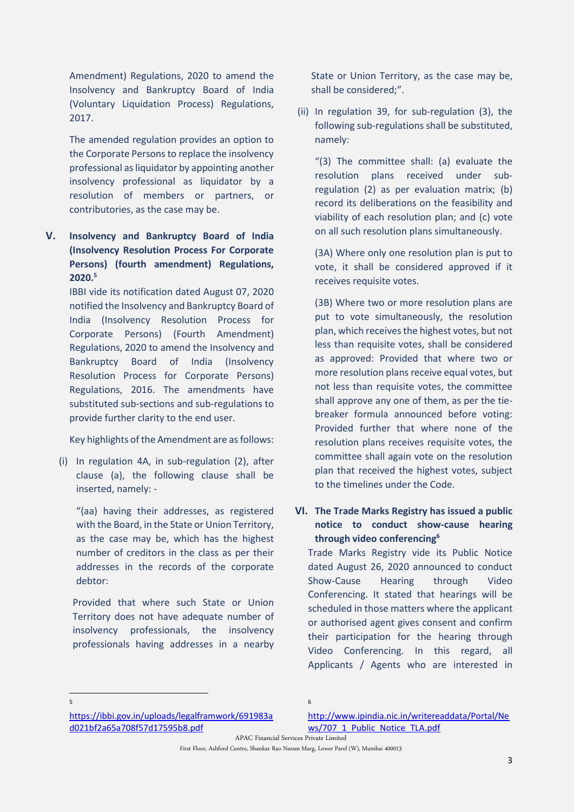Amendment) Regulations, 2020 to amend the Insolvency and Bankruptcy Board of India (Voluntary Liquidation Process) Regulations, 2017.

The amended regulation provides an option to the Corporate Persons to replace the insolvency professional as liquidator by appointing another insolvency professional as liquidator by a resolution of members or partners, or contributories, as the case may be.

<span id="page-2-0"></span>**V. Insolvency and Bankruptcy Board of India (Insolvency Resolution Process For Corporate Persons) (fourth amendment) Regulations, 2020.<sup>5</sup>**

IBBI vide its notification dated August 07, 2020 notified the Insolvency and Bankruptcy Board of India (Insolvency Resolution Process for Corporate Persons) (Fourth Amendment) Regulations, 2020 to amend the Insolvency and Bankruptcy Board of India (Insolvency Resolution Process for Corporate Persons) Regulations, 2016. The amendments have substituted sub-sections and sub-regulations to provide further clarity to the end user.

Key highlights of the Amendment are as follows:

(i) In regulation 4A, in sub-regulation (2), after clause (a), the following clause shall be inserted, namely: -

"(aa) having their addresses, as registered with the Board, in the State or Union Territory, as the case may be, which has the highest number of creditors in the class as per their addresses in the records of the corporate debtor:

Provided that where such State or Union Territory does not have adequate number of insolvency professionals, the insolvency professionals having addresses in a nearby

State or Union Territory, as the case may be, shall be considered;".

(ii) In regulation 39, for sub-regulation (3), the following sub-regulations shall be substituted, namely:

"(3) The committee shall: (a) evaluate the resolution plans received under subregulation (2) as per evaluation matrix; (b) record its deliberations on the feasibility and viability of each resolution plan; and (c) vote on all such resolution plans simultaneously.

(3A) Where only one resolution plan is put to vote, it shall be considered approved if it receives requisite votes.

(3B) Where two or more resolution plans are put to vote simultaneously, the resolution plan, which receives the highest votes, but not less than requisite votes, shall be considered as approved: Provided that where two or more resolution plans receive equal votes, but not less than requisite votes, the committee shall approve any one of them, as per the tiebreaker formula announced before voting: Provided further that where none of the resolution plans receives requisite votes, the committee shall again vote on the resolution plan that received the highest votes, subject to the timelines under the Code.

<span id="page-2-1"></span>**VI. The Trade Marks Registry has issued a public notice to conduct show-cause hearing through video conferencing<sup>6</sup>**

Trade Marks Registry vide its Public Notice dated August 26, 2020 announced to conduct Show-Cause Hearing through Video Conferencing. It stated that hearings will be scheduled in those matters where the applicant or authorised agent gives consent and confirm their participation for the hearing through Video Conferencing. In this regard, all Applicants / Agents who are interested in

5

[https://ibbi.gov.in/uploads/legalframwork/691983a](https://ibbi.gov.in/uploads/legalframwork/691983ad021bf2a65a708f57d17595b8.pdf) [d021bf2a65a708f57d17595b8.pdf](https://ibbi.gov.in/uploads/legalframwork/691983ad021bf2a65a708f57d17595b8.pdf)

[http://www.ipindia.nic.in/writereaddata/Portal/Ne](http://www.ipindia.nic.in/writereaddata/Portal/News/707_1_Public_Notice_TLA.pdf) [ws/707\\_1\\_Public\\_Notice\\_TLA.pdf](http://www.ipindia.nic.in/writereaddata/Portal/News/707_1_Public_Notice_TLA.pdf)

APAC Financial Services Private Limited

First Floor, Ashford Centre, Shankar Rao Naram Marg, Lower Parel (W), Mumbai 400013

6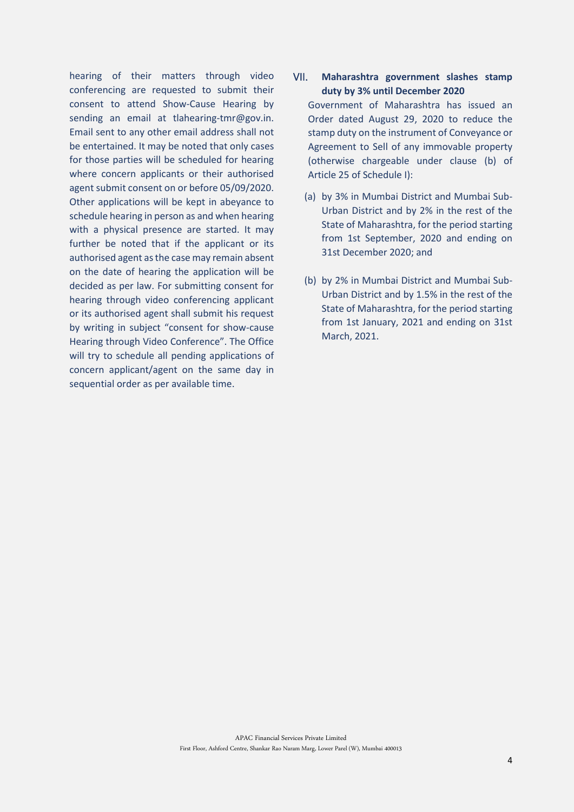hearing of their matters through video conferencing are requested to submit their consent to attend Show-Cause Hearing by sending an email at tlahearing-tmr@gov.in. Email sent to any other email address shall not be entertained. It may be noted that only cases for those parties will be scheduled for hearing where concern applicants or their authorised agent submit consent on or before 05/09/2020. Other applications will be kept in abeyance to schedule hearing in person as and when hearing with a physical presence are started. It may further be noted that if the applicant or its authorised agent as the case may remain absent on the date of hearing the application will be decided as per law. For submitting consent for hearing through video conferencing applicant or its authorised agent shall submit his request by writing in subject "consent for show-cause Hearing through Video Conference". The Office will try to schedule all pending applications of concern applicant/agent on the same day in sequential order as per available time.

## <span id="page-3-0"></span>VII. **Maharashtra government slashes stamp duty by 3% until December 2020**  Government of Maharashtra has issued an Order dated August 29, 2020 to reduce the stamp duty on the instrument of Conveyance or

Agreement to Sell of any immovable property (otherwise chargeable under clause (b) of Article 25 of Schedule I):

- (a) by 3% in Mumbai District and Mumbai Sub-Urban District and by 2% in the rest of the State of Maharashtra, for the period starting from 1st September, 2020 and ending on 31st December 2020; and
- <span id="page-3-1"></span>(b) by 2% in Mumbai District and Mumbai Sub-Urban District and by 1.5% in the rest of the State of Maharashtra, for the period starting from 1st January, 2021 and ending on 31st March, 2021.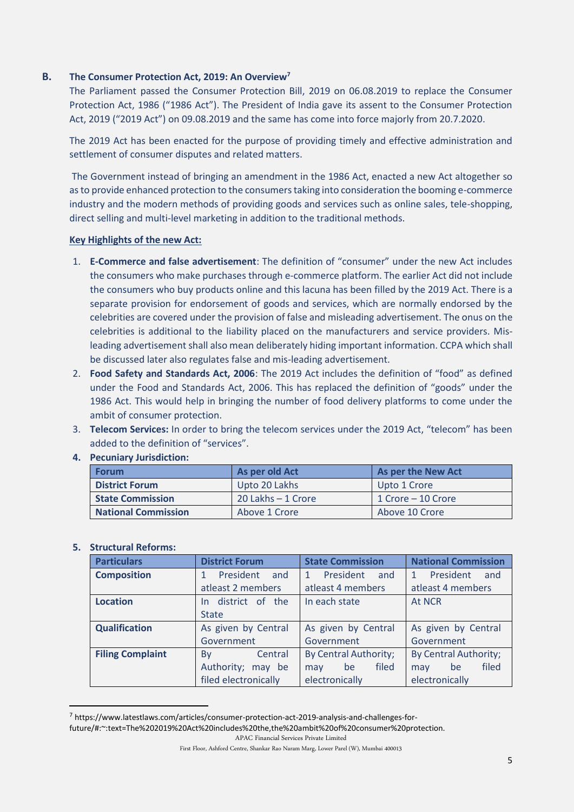### **B. The Consumer Protection Act, 2019: An Overview<sup>7</sup>**

The Parliament passed the Consumer Protection Bill, 2019 on 06.08.2019 to replace the Consumer Protection Act, 1986 ("1986 Act"). The President of India gave its assent to the Consumer Protection Act, 2019 ("2019 Act") on 09.08.2019 and the same has come into force majorly from 20.7.2020.

The 2019 Act has been enacted for the purpose of providing timely and effective administration and settlement of consumer disputes and related matters.

The Government instead of bringing an amendment in the 1986 Act, enacted a new Act altogether so as to provide enhanced protection to the consumers taking into consideration the booming e-commerce industry and the modern methods of providing goods and services such as online sales, tele-shopping, direct selling and multi-level marketing in addition to the traditional methods.

### **Key Highlights of the new Act:**

- 1. **E-Commerce and false advertisement**: The definition of "consumer" under the new Act includes the consumers who make purchases through e-commerce platform. The earlier Act did not include the consumers who buy products online and this lacuna has been filled by the 2019 Act. There is a separate provision for endorsement of goods and services, which are normally endorsed by the celebrities are covered under the provision of false and misleading advertisement. The onus on the celebrities is additional to the liability placed on the manufacturers and service providers. Misleading advertisement shall also mean deliberately hiding important information. CCPA which shall be discussed later also regulates false and mis-leading advertisement.
- 2. **Food Safety and Standards Act, 2006**: The 2019 Act includes the definition of "food" as defined under the Food and Standards Act, 2006. This has replaced the definition of "goods" under the 1986 Act. This would help in bringing the number of food delivery platforms to come under the ambit of consumer protection.
- 3. **Telecom Services:** In order to bring the telecom services under the 2019 Act, "telecom" has been added to the definition of "services".

| <b>Forum</b>               | As per old Act        | As per the New Act |
|----------------------------|-----------------------|--------------------|
| <b>District Forum</b>      | Upto 20 Lakhs         | Upto 1 Crore       |
| <b>State Commission</b>    | $20$ Lakhs $-1$ Crore | 1 Crore – 10 Crore |
| <b>National Commission</b> | Above 1 Crore         | Above 10 Crore     |

**4. Pecuniary Jurisdiction:** 

### **5. Structural Reforms:**

| <b>Particulars</b>      | <b>District Forum</b>            | <b>State Commission</b>          | <b>National Commission</b>       |  |
|-------------------------|----------------------------------|----------------------------------|----------------------------------|--|
| <b>Composition</b>      | President<br>and<br>$\mathbf{1}$ | President<br>and<br>$\mathbf{1}$ | President<br>and<br>$\mathbf{1}$ |  |
|                         | atleast 2 members                | atleast 4 members                | atleast 4 members                |  |
| Location                | In district of the               | In each state                    | At NCR                           |  |
|                         | <b>State</b>                     |                                  |                                  |  |
| <b>Qualification</b>    | As given by Central              | As given by Central              | As given by Central              |  |
|                         | Government                       | Government                       | Government                       |  |
| <b>Filing Complaint</b> | Central<br>Bv                    | By Central Authority;            | By Central Authority;            |  |
|                         | Authority; may be                | filed<br>be<br>may               | filed<br>be<br>may               |  |
|                         | filed electronically             | electronically                   | electronically                   |  |

<sup>7</sup> https://www.latestlaws.com/articles/consumer-protection-act-2019-analysis-and-challenges-for-

future/#:~:text=The%202019%20Act%20includes%20the,the%20ambit%20of%20consumer%20protection.

APAC Financial Services Private Limited

First Floor, Ashford Centre, Shankar Rao Naram Marg, Lower Parel (W), Mumbai 400013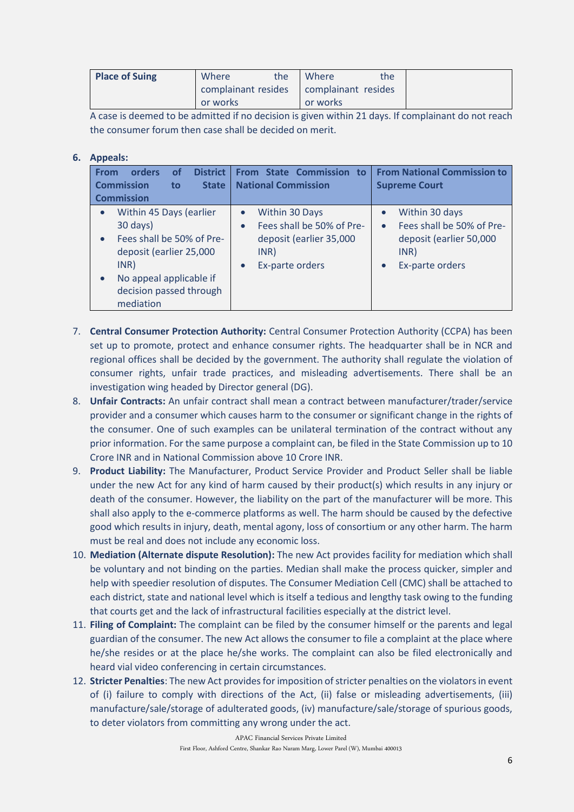| <b>Place of Suing</b> | Where<br>the | the<br>Where                              |  |
|-----------------------|--------------|-------------------------------------------|--|
|                       |              | complainant resides   complainant resides |  |
|                       | or works     | or works                                  |  |

A case is deemed to be admitted if no decision is given within 21 days. If complainant do not reach the consumer forum then case shall be decided on merit.

### **6. Appeals:**

| orders<br><b>From</b><br><b>Commission</b><br><b>Commission</b> | <b>District</b><br><b>of</b><br><b>State</b><br>to                                                                                    | <b>State Commission</b><br>to to<br><b>From</b><br><b>National Commission</b>                                                            | <b>From National Commission to</b><br><b>Supreme Court</b>                                                                  |
|-----------------------------------------------------------------|---------------------------------------------------------------------------------------------------------------------------------------|------------------------------------------------------------------------------------------------------------------------------------------|-----------------------------------------------------------------------------------------------------------------------------|
| 30 days)<br>INR)<br>mediation                                   | Within 45 Days (earlier<br>Fees shall be 50% of Pre-<br>deposit (earlier 25,000<br>No appeal applicable if<br>decision passed through | Within 30 Days<br>$\bullet$<br>Fees shall be 50% of Pre-<br>$\bullet$<br>deposit (earlier 35,000<br>INR)<br>Ex-parte orders<br>$\bullet$ | Within 30 days<br>Fees shall be 50% of Pre-<br>$\bullet$<br>deposit (earlier 50,000<br>INR)<br>Ex-parte orders<br>$\bullet$ |

- 7. **Central Consumer Protection Authority:** Central Consumer Protection Authority (CCPA) has been set up to promote, protect and enhance consumer rights. The headquarter shall be in NCR and regional offices shall be decided by the government. The authority shall regulate the violation of consumer rights, unfair trade practices, and misleading advertisements. There shall be an investigation wing headed by Director general (DG).
- 8. **Unfair Contracts:** An unfair contract shall mean a contract between manufacturer/trader/service provider and a consumer which causes harm to the consumer or significant change in the rights of the consumer. One of such examples can be unilateral termination of the contract without any prior information. For the same purpose a complaint can, be filed in the State Commission up to 10 Crore INR and in National Commission above 10 Crore INR.
- 9. **Product Liability:** The Manufacturer, Product Service Provider and Product Seller shall be liable under the new Act for any kind of harm caused by their product(s) which results in any injury or death of the consumer. However, the liability on the part of the manufacturer will be more. This shall also apply to the e-commerce platforms as well. The harm should be caused by the defective good which results in injury, death, mental agony, loss of consortium or any other harm. The harm must be real and does not include any economic loss.
- 10. **Mediation (Alternate dispute Resolution):** The new Act provides facility for mediation which shall be voluntary and not binding on the parties. Median shall make the process quicker, simpler and help with speedier resolution of disputes. The Consumer Mediation Cell (CMC) shall be attached to each district, state and national level which is itself a tedious and lengthy task owing to the funding that courts get and the lack of infrastructural facilities especially at the district level.
- 11. **Filing of Complaint:** The complaint can be filed by the consumer himself or the parents and legal guardian of the consumer. The new Act allows the consumer to file a complaint at the place where he/she resides or at the place he/she works. The complaint can also be filed electronically and heard vial video conferencing in certain circumstances.
- 12. **Stricter Penalties**: The new Act provides for imposition of stricter penalties on the violators in event of (i) failure to comply with directions of the Act, (ii) false or misleading advertisements, (iii) manufacture/sale/storage of adulterated goods, (iv) manufacture/sale/storage of spurious goods, to deter violators from committing any wrong under the act.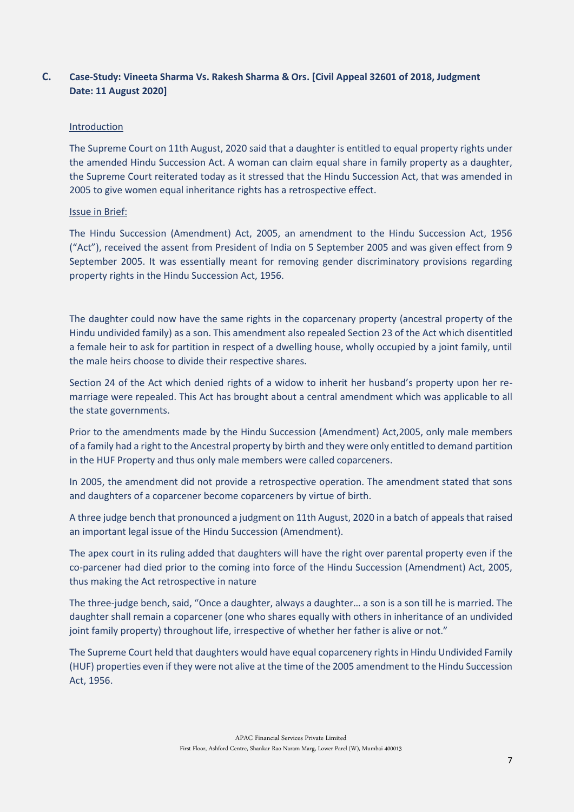### <span id="page-6-0"></span>**C. Case-Study: Vineeta Sharma Vs. Rakesh Sharma & Ors. [Civil Appeal 32601 of 2018, Judgment Date: 11 August 2020]**

### Introduction

The Supreme Court on 11th August, 2020 said that a daughter is entitled to equal property rights under the amended Hindu Succession Act. A woman can claim equal share in family property as a daughter, the Supreme Court reiterated today as it stressed that the Hindu Succession Act, that was amended in 2005 to give women equal inheritance rights has a retrospective effect.

### Issue in Brief:

The Hindu Succession (Amendment) Act, 2005, an amendment to the Hindu Succession Act, 1956 ("Act"), received the assent from President of India on 5 September 2005 and was given effect from 9 September 2005. It was essentially meant for removing gender discriminatory provisions regarding property rights in the Hindu Succession Act, 1956.

The daughter could now have the same rights in the coparcenary property (ancestral property of the Hindu undivided family) as a son. This amendment also repealed Section 23 of the Act which disentitled a female heir to ask for partition in respect of a dwelling house, wholly occupied by a joint family, until the male heirs choose to divide their respective shares.

Section 24 of the Act which denied rights of a widow to inherit her husband's property upon her remarriage were repealed. This Act has brought about a central amendment which was applicable to all the state governments.

Prior to the amendments made by the Hindu Succession (Amendment) Act,2005, only male members of a family had a right to the Ancestral property by birth and they were only entitled to demand partition in the HUF Property and thus only male members were called coparceners.

In 2005, the amendment did not provide a retrospective operation. The amendment stated that sons and daughters of a coparcener become coparceners by virtue of birth.

A three judge bench that pronounced a judgment on 11th August, 2020 in a batch of appeals that raised an important legal issue of the Hindu Succession (Amendment).

The apex court in its ruling added that daughters will have the right over parental property even if the co-parcener had died prior to the coming into force of the Hindu Succession (Amendment) Act, 2005, thus making the Act retrospective in nature

The three-judge bench, said, "Once a daughter, always a daughter… a son is a son till he is married. The daughter shall remain a coparcener (one who shares equally with others in inheritance of an undivided joint family property) throughout life, irrespective of whether her father is alive or not."

The Supreme Court held that daughters would have equal coparcenery rights in Hindu Undivided Family (HUF) properties even if they were not alive at the time of the 2005 amendment to the Hindu Succession Act, 1956.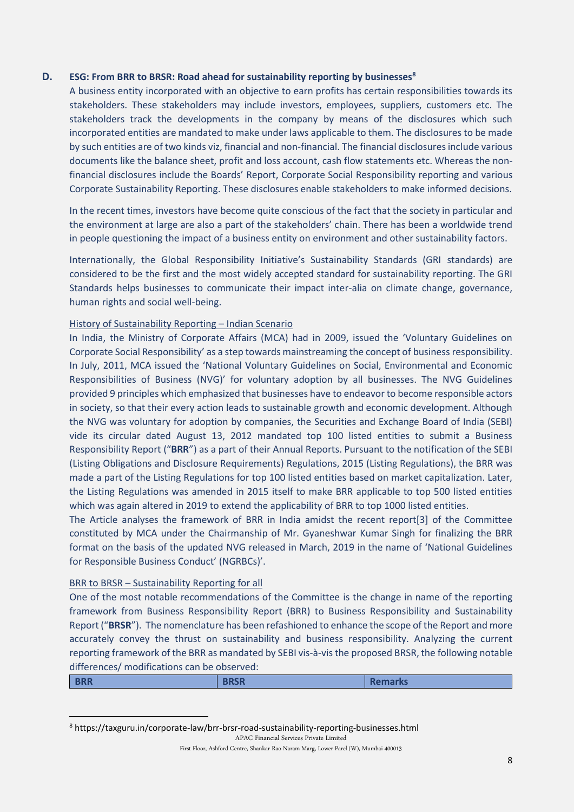### **D. ESG: From BRR to BRSR: Road ahead for sustainability reporting by businesses<sup>8</sup>**

<span id="page-7-0"></span>A business entity incorporated with an objective to earn profits has certain responsibilities towards its stakeholders. These stakeholders may include investors, employees, suppliers, customers etc. The stakeholders track the developments in the company by means of the disclosures which such incorporated entities are mandated to make under laws applicable to them. The disclosures to be made by such entities are of two kinds viz, financial and non-financial. The financial disclosures include various documents like the balance sheet, profit and loss account, cash flow statements etc. Whereas the nonfinancial disclosures include the Boards' Report, Corporate Social Responsibility reporting and various Corporate Sustainability Reporting. These disclosures enable stakeholders to make informed decisions.

In the recent times, investors have become quite conscious of the fact that the society in particular and the environment at large are also a part of the stakeholders' chain. There has been a worldwide trend in people questioning the impact of a business entity on environment and other sustainability factors.

Internationally, the Global Responsibility Initiative's Sustainability Standards (GRI standards) are considered to be the first and the most widely accepted standard for sustainability reporting. The GRI Standards helps businesses to communicate their impact inter-alia on climate change, governance, human rights and social well-being.

#### History of Sustainability Reporting – Indian Scenario

In India, the Ministry of Corporate Affairs (MCA) had in 2009, issued the 'Voluntary Guidelines on Corporate Social Responsibility' as a step towards mainstreaming the concept of business responsibility. In July, 2011, MCA issued the 'National Voluntary Guidelines on Social, Environmental and Economic Responsibilities of Business (NVG)' for voluntary adoption by all businesses. The NVG Guidelines provided 9 principles which emphasized that businesses have to endeavor to become responsible actors in society, so that their every action leads to sustainable growth and economic development. Although the NVG was voluntary for adoption by companies, the Securities and Exchange Board of India (SEBI) vide its circular dated August 13, 2012 mandated top 100 listed entities to submit a Business Responsibility Report ("**BRR**") as a part of their Annual Reports. Pursuant to the notification of the SEBI (Listing Obligations and Disclosure Requirements) Regulations, 2015 (Listing Regulations), the BRR was made a part of the Listing Regulations for top 100 listed entities based on market capitalization. Later, the Listing Regulations was amended in 2015 itself to make BRR applicable to top 500 listed entities which was again altered in 2019 to extend the applicability of BRR to top 1000 listed entities.

The Article analyses the framework of BRR in India amidst the recent report[3] of the Committee constituted by MCA under the Chairmanship of Mr. Gyaneshwar Kumar Singh for finalizing the BRR format on the basis of the updated NVG released in March, 2019 in the name of 'National Guidelines for Responsible Business Conduct' (NGRBCs)'.

#### BRR to BRSR – Sustainability Reporting for all

One of the most notable recommendations of the Committee is the change in name of the reporting framework from Business Responsibility Report (BRR) to Business Responsibility and Sustainability Report ("**BRSR**"). The nomenclature has been refashioned to enhance the scope of the Report and more accurately convey the thrust on sustainability and business responsibility. Analyzing the current reporting framework of the BRR as mandated by SEBI vis-à-vis the proposed BRSR, the following notable differences/ modifications can be observed:

| <b>BRR</b><br><b>BRSR</b><br>Remarks |
|--------------------------------------|
|--------------------------------------|

<sup>8</sup> https://taxguru.in/corporate-law/brr-brsr-road-sustainability-reporting-businesses.html

APAC Financial Services Private Limited

First Floor, Ashford Centre, Shankar Rao Naram Marg, Lower Parel (W), Mumbai 400013